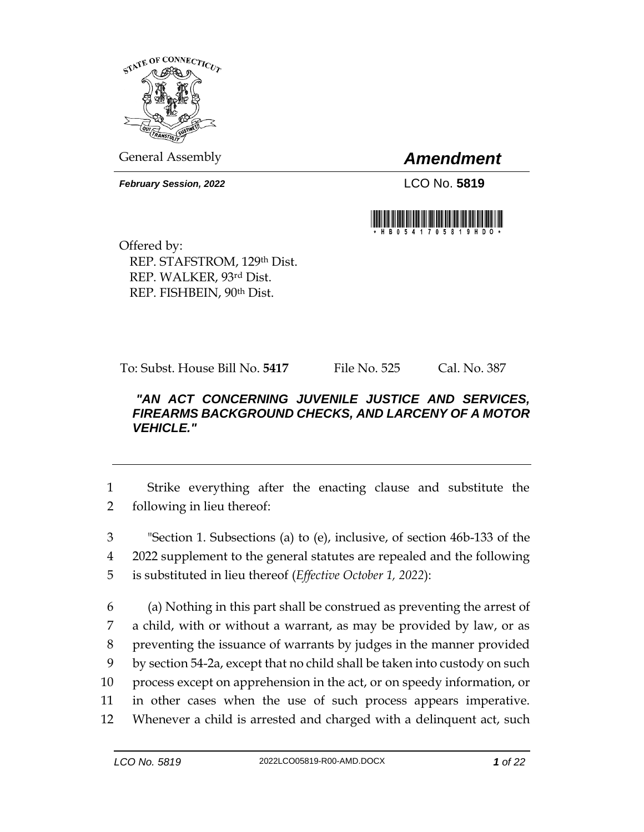

General Assembly *Amendment*

*February Session, 2022* LCO No. 5819



Offered by: REP. STAFSTROM, 129th Dist. REP. WALKER, 93rd Dist. REP. FISHBEIN, 90th Dist.

To: Subst. House Bill No. **5417** File No. 525 Cal. No. 387

## *"AN ACT CONCERNING JUVENILE JUSTICE AND SERVICES, FIREARMS BACKGROUND CHECKS, AND LARCENY OF A MOTOR VEHICLE."*

1 Strike everything after the enacting clause and substitute the 2 following in lieu thereof:

3 "Section 1. Subsections (a) to (e), inclusive, of section 46b-133 of the 4 2022 supplement to the general statutes are repealed and the following 5 is substituted in lieu thereof (*Effective October 1, 2022*):

 (a) Nothing in this part shall be construed as preventing the arrest of a child, with or without a warrant, as may be provided by law, or as preventing the issuance of warrants by judges in the manner provided by section 54-2a, except that no child shall be taken into custody on such process except on apprehension in the act, or on speedy information, or in other cases when the use of such process appears imperative. Whenever a child is arrested and charged with a delinquent act, such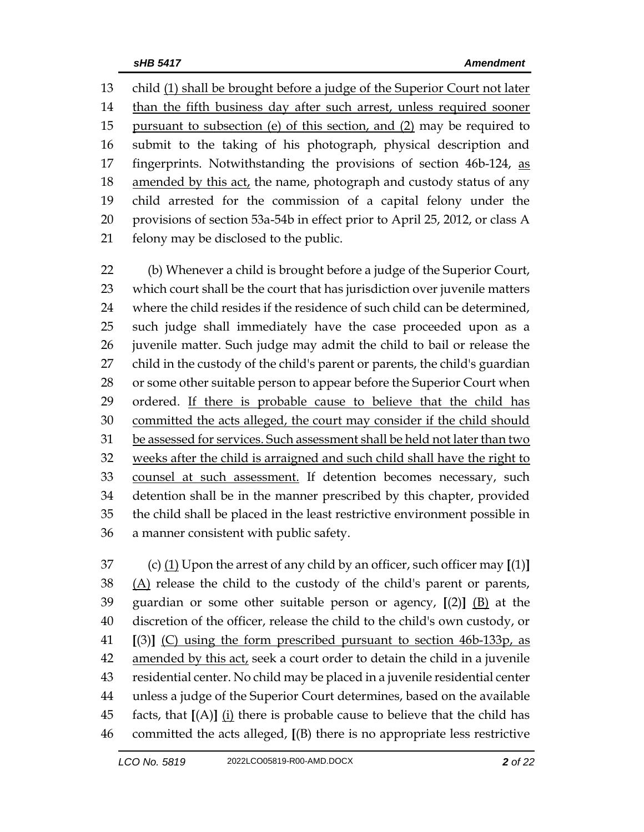child (1) shall be brought before a judge of the Superior Court not later 14 than the fifth business day after such arrest, unless required sooner 15 pursuant to subsection (e) of this section, and (2) may be required to submit to the taking of his photograph, physical description and 17 fingerprints. Notwithstanding the provisions of section 46b-124, as 18 amended by this act, the name, photograph and custody status of any child arrested for the commission of a capital felony under the provisions of section 53a-54b in effect prior to April 25, 2012, or class A felony may be disclosed to the public.

 (b) Whenever a child is brought before a judge of the Superior Court, which court shall be the court that has jurisdiction over juvenile matters where the child resides if the residence of such child can be determined, such judge shall immediately have the case proceeded upon as a juvenile matter. Such judge may admit the child to bail or release the child in the custody of the child's parent or parents, the child's guardian 28 or some other suitable person to appear before the Superior Court when 29 ordered. If there is probable cause to believe that the child has 30 committed the acts alleged, the court may consider if the child should be assessed for services. Such assessment shall be held not later than two weeks after the child is arraigned and such child shall have the right to counsel at such assessment. If detention becomes necessary, such detention shall be in the manner prescribed by this chapter, provided the child shall be placed in the least restrictive environment possible in a manner consistent with public safety.

 (c) (1) Upon the arrest of any child by an officer, such officer may **[**(1)**]** (A) release the child to the custody of the child's parent or parents, guardian or some other suitable person or agency, **[**(2)**]** (B) at the discretion of the officer, release the child to the child's own custody, or **[**(3)**]** (C) using the form prescribed pursuant to section 46b-133p, as amended by this act, seek a court order to detain the child in a juvenile residential center. No child may be placed in a juvenile residential center unless a judge of the Superior Court determines, based on the available facts, that **[**(A)**]** (i) there is probable cause to believe that the child has committed the acts alleged, **[**(B) there is no appropriate less restrictive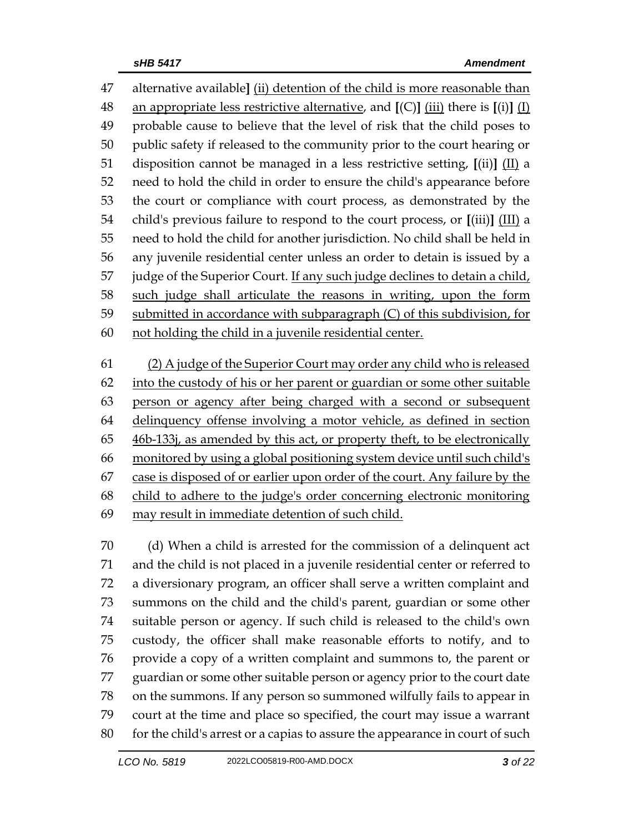alternative available**]** (ii) detention of the child is more reasonable than an appropriate less restrictive alternative, and **[**(C)**]** (iii) there is **[**(i)**]** (I) probable cause to believe that the level of risk that the child poses to public safety if released to the community prior to the court hearing or disposition cannot be managed in a less restrictive setting, **[**(ii)**]** (II) a need to hold the child in order to ensure the child's appearance before the court or compliance with court process, as demonstrated by the child's previous failure to respond to the court process, or **[**(iii)**]** (III) a need to hold the child for another jurisdiction. No child shall be held in any juvenile residential center unless an order to detain is issued by a 57 judge of the Superior Court. If any such judge declines to detain a child, such judge shall articulate the reasons in writing, upon the form submitted in accordance with subparagraph (C) of this subdivision, for not holding the child in a juvenile residential center.

 (2) A judge of the Superior Court may order any child who is released into the custody of his or her parent or guardian or some other suitable person or agency after being charged with a second or subsequent delinquency offense involving a motor vehicle, as defined in section 46b-133j, as amended by this act, or property theft, to be electronically monitored by using a global positioning system device until such child's case is disposed of or earlier upon order of the court. Any failure by the child to adhere to the judge's order concerning electronic monitoring may result in immediate detention of such child.

 (d) When a child is arrested for the commission of a delinquent act and the child is not placed in a juvenile residential center or referred to a diversionary program, an officer shall serve a written complaint and summons on the child and the child's parent, guardian or some other suitable person or agency. If such child is released to the child's own custody, the officer shall make reasonable efforts to notify, and to provide a copy of a written complaint and summons to, the parent or guardian or some other suitable person or agency prior to the court date on the summons. If any person so summoned wilfully fails to appear in court at the time and place so specified, the court may issue a warrant 80 for the child's arrest or a capias to assure the appearance in court of such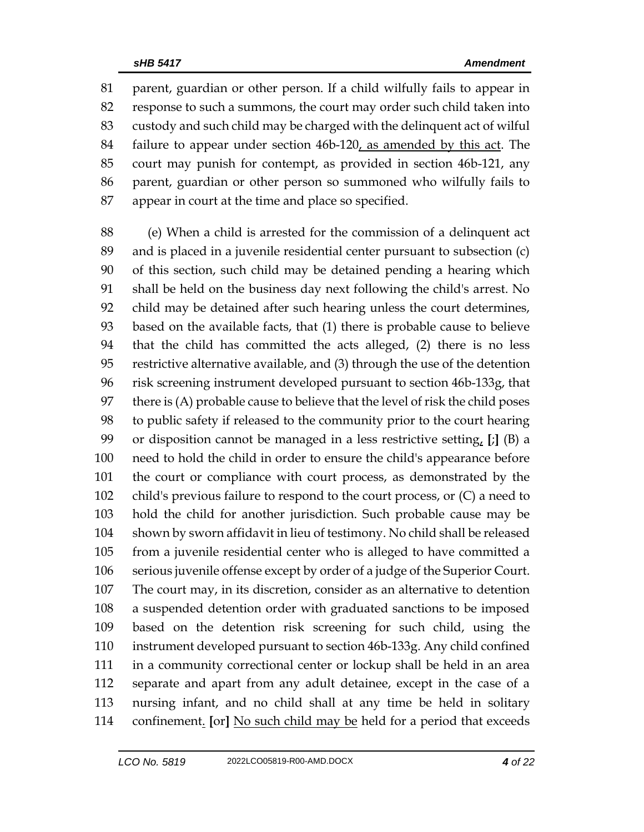parent, guardian or other person. If a child wilfully fails to appear in response to such a summons, the court may order such child taken into custody and such child may be charged with the delinquent act of wilful failure to appear under section 46b-120, as amended by this act. The court may punish for contempt, as provided in section 46b-121, any parent, guardian or other person so summoned who wilfully fails to appear in court at the time and place so specified.

 (e) When a child is arrested for the commission of a delinquent act and is placed in a juvenile residential center pursuant to subsection (c) of this section, such child may be detained pending a hearing which shall be held on the business day next following the child's arrest. No child may be detained after such hearing unless the court determines, based on the available facts, that (1) there is probable cause to believe that the child has committed the acts alleged, (2) there is no less restrictive alternative available, and (3) through the use of the detention risk screening instrument developed pursuant to section 46b-133g, that there is (A) probable cause to believe that the level of risk the child poses to public safety if released to the community prior to the court hearing or disposition cannot be managed in a less restrictive setting, **[**;**]** (B) a need to hold the child in order to ensure the child's appearance before the court or compliance with court process, as demonstrated by the child's previous failure to respond to the court process, or (C) a need to hold the child for another jurisdiction. Such probable cause may be shown by sworn affidavit in lieu of testimony. No child shall be released from a juvenile residential center who is alleged to have committed a serious juvenile offense except by order of a judge of the Superior Court. The court may, in its discretion, consider as an alternative to detention a suspended detention order with graduated sanctions to be imposed based on the detention risk screening for such child, using the instrument developed pursuant to section 46b-133g. Any child confined in a community correctional center or lockup shall be held in an area separate and apart from any adult detainee, except in the case of a nursing infant, and no child shall at any time be held in solitary confinement. **[**or**]** No such child may be held for a period that exceeds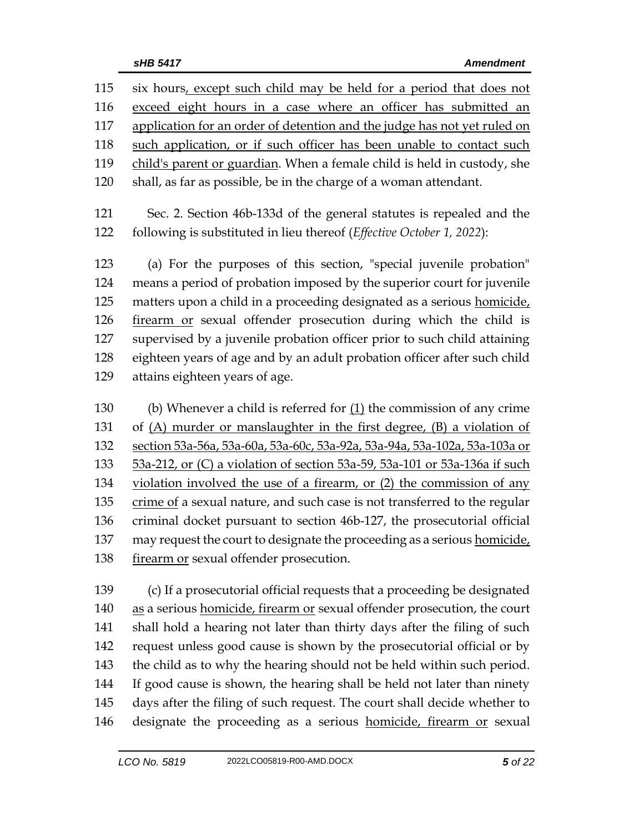| 115 | six hours, except such child may be held for a period that does not        |  |  |
|-----|----------------------------------------------------------------------------|--|--|
| 116 | exceed eight hours in a case where an officer has submitted an             |  |  |
| 117 | application for an order of detention and the judge has not yet ruled on   |  |  |
| 118 | such application, or if such officer has been unable to contact such       |  |  |
| 119 | child's parent or guardian. When a female child is held in custody, she    |  |  |
| 120 | shall, as far as possible, be in the charge of a woman attendant.          |  |  |
| 121 | Sec. 2. Section 46b-133d of the general statutes is repealed and the       |  |  |
| 122 | following is substituted in lieu thereof (Effective October 1, 2022):      |  |  |
| 123 | (a) For the purposes of this section, "special juvenile probation"         |  |  |
| 124 | means a period of probation imposed by the superior court for juvenile     |  |  |
| 125 | matters upon a child in a proceeding designated as a serious homicide,     |  |  |
| 126 | firearm or sexual offender prosecution during which the child is           |  |  |
| 127 | supervised by a juvenile probation officer prior to such child attaining   |  |  |
| 128 | eighteen years of age and by an adult probation officer after such child   |  |  |
| 129 | attains eighteen years of age.                                             |  |  |
| 130 | (b) Whenever a child is referred for $(1)$ the commission of any crime     |  |  |
| 131 | of (A) murder or manslaughter in the first degree, (B) a violation of      |  |  |
| 132 | section 53a-56a, 53a-60a, 53a-60c, 53a-92a, 53a-94a, 53a-102a, 53a-103a or |  |  |
| 133 | 53a-212, or (C) a violation of section 53a-59, 53a-101 or 53a-136a if such |  |  |
| 134 | violation involved the use of a firearm, or (2) the commission of any      |  |  |
| 135 | crime of a sexual nature, and such case is not transferred to the regular  |  |  |
| 136 | criminal docket pursuant to section 46b-127, the prosecutorial official    |  |  |

137 may request the court to designate the proceeding as a serious homicide, 138 firearm or sexual offender prosecution.

 (c) If a prosecutorial official requests that a proceeding be designated 140 as a serious homicide, firearm or sexual offender prosecution, the court shall hold a hearing not later than thirty days after the filing of such request unless good cause is shown by the prosecutorial official or by the child as to why the hearing should not be held within such period. If good cause is shown, the hearing shall be held not later than ninety days after the filing of such request. The court shall decide whether to 146 designate the proceeding as a serious homicide, firearm or sexual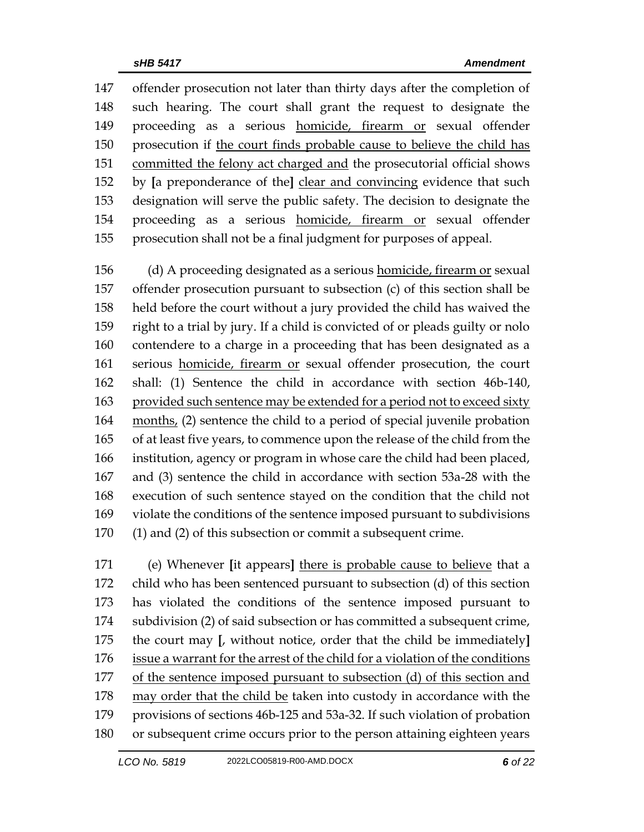offender prosecution not later than thirty days after the completion of such hearing. The court shall grant the request to designate the proceeding as a serious homicide, firearm or sexual offender prosecution if the court finds probable cause to believe the child has committed the felony act charged and the prosecutorial official shows by **[**a preponderance of the**]** clear and convincing evidence that such designation will serve the public safety. The decision to designate the proceeding as a serious homicide, firearm or sexual offender prosecution shall not be a final judgment for purposes of appeal.

 (d) A proceeding designated as a serious homicide, firearm or sexual offender prosecution pursuant to subsection (c) of this section shall be held before the court without a jury provided the child has waived the right to a trial by jury. If a child is convicted of or pleads guilty or nolo contendere to a charge in a proceeding that has been designated as a serious homicide, firearm or sexual offender prosecution, the court shall: (1) Sentence the child in accordance with section 46b-140, provided such sentence may be extended for a period not to exceed sixty months, (2) sentence the child to a period of special juvenile probation of at least five years, to commence upon the release of the child from the institution, agency or program in whose care the child had been placed, and (3) sentence the child in accordance with section 53a-28 with the execution of such sentence stayed on the condition that the child not violate the conditions of the sentence imposed pursuant to subdivisions (1) and (2) of this subsection or commit a subsequent crime.

 (e) Whenever **[**it appears**]** there is probable cause to believe that a child who has been sentenced pursuant to subsection (d) of this section has violated the conditions of the sentence imposed pursuant to subdivision (2) of said subsection or has committed a subsequent crime, the court may **[**, without notice, order that the child be immediately**]** issue a warrant for the arrest of the child for a violation of the conditions of the sentence imposed pursuant to subsection (d) of this section and may order that the child be taken into custody in accordance with the provisions of sections 46b-125 and 53a-32. If such violation of probation or subsequent crime occurs prior to the person attaining eighteen years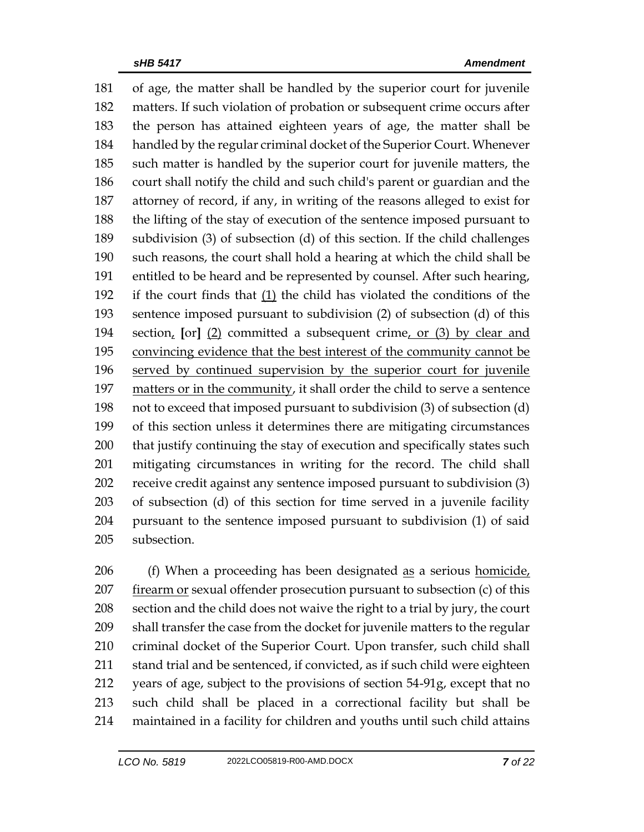of age, the matter shall be handled by the superior court for juvenile matters. If such violation of probation or subsequent crime occurs after the person has attained eighteen years of age, the matter shall be handled by the regular criminal docket of the Superior Court. Whenever such matter is handled by the superior court for juvenile matters, the court shall notify the child and such child's parent or guardian and the attorney of record, if any, in writing of the reasons alleged to exist for the lifting of the stay of execution of the sentence imposed pursuant to subdivision (3) of subsection (d) of this section. If the child challenges such reasons, the court shall hold a hearing at which the child shall be entitled to be heard and be represented by counsel. After such hearing, if the court finds that (1) the child has violated the conditions of the sentence imposed pursuant to subdivision (2) of subsection (d) of this section, **[**or**]** (2) committed a subsequent crime, or (3) by clear and convincing evidence that the best interest of the community cannot be served by continued supervision by the superior court for juvenile matters or in the community, it shall order the child to serve a sentence not to exceed that imposed pursuant to subdivision (3) of subsection (d) of this section unless it determines there are mitigating circumstances that justify continuing the stay of execution and specifically states such mitigating circumstances in writing for the record. The child shall receive credit against any sentence imposed pursuant to subdivision (3) of subsection (d) of this section for time served in a juvenile facility pursuant to the sentence imposed pursuant to subdivision (1) of said subsection.

206 (f) When a proceeding has been designated as a serious homicide, firearm or sexual offender prosecution pursuant to subsection (c) of this section and the child does not waive the right to a trial by jury, the court shall transfer the case from the docket for juvenile matters to the regular criminal docket of the Superior Court. Upon transfer, such child shall 211 stand trial and be sentenced, if convicted, as if such child were eighteen years of age, subject to the provisions of section 54-91g, except that no such child shall be placed in a correctional facility but shall be maintained in a facility for children and youths until such child attains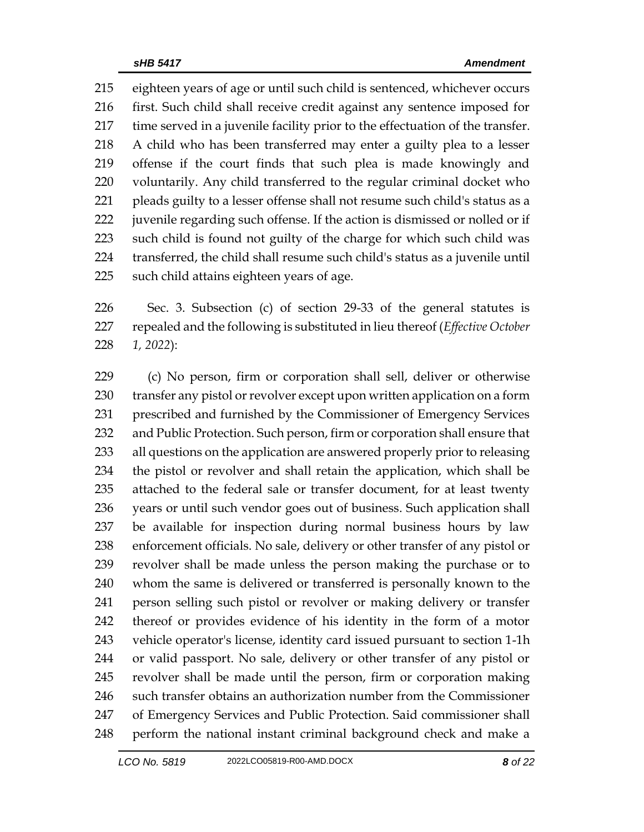eighteen years of age or until such child is sentenced, whichever occurs first. Such child shall receive credit against any sentence imposed for time served in a juvenile facility prior to the effectuation of the transfer. A child who has been transferred may enter a guilty plea to a lesser offense if the court finds that such plea is made knowingly and voluntarily. Any child transferred to the regular criminal docket who pleads guilty to a lesser offense shall not resume such child's status as a juvenile regarding such offense. If the action is dismissed or nolled or if such child is found not guilty of the charge for which such child was transferred, the child shall resume such child's status as a juvenile until such child attains eighteen years of age.

 Sec. 3. Subsection (c) of section 29-33 of the general statutes is repealed and the following is substituted in lieu thereof (*Effective October 1, 2022*):

 (c) No person, firm or corporation shall sell, deliver or otherwise transfer any pistol or revolver except upon written application on a form prescribed and furnished by the Commissioner of Emergency Services and Public Protection. Such person, firm or corporation shall ensure that all questions on the application are answered properly prior to releasing the pistol or revolver and shall retain the application, which shall be attached to the federal sale or transfer document, for at least twenty years or until such vendor goes out of business. Such application shall be available for inspection during normal business hours by law enforcement officials. No sale, delivery or other transfer of any pistol or revolver shall be made unless the person making the purchase or to whom the same is delivered or transferred is personally known to the person selling such pistol or revolver or making delivery or transfer thereof or provides evidence of his identity in the form of a motor vehicle operator's license, identity card issued pursuant to section 1-1h or valid passport. No sale, delivery or other transfer of any pistol or revolver shall be made until the person, firm or corporation making such transfer obtains an authorization number from the Commissioner of Emergency Services and Public Protection. Said commissioner shall perform the national instant criminal background check and make a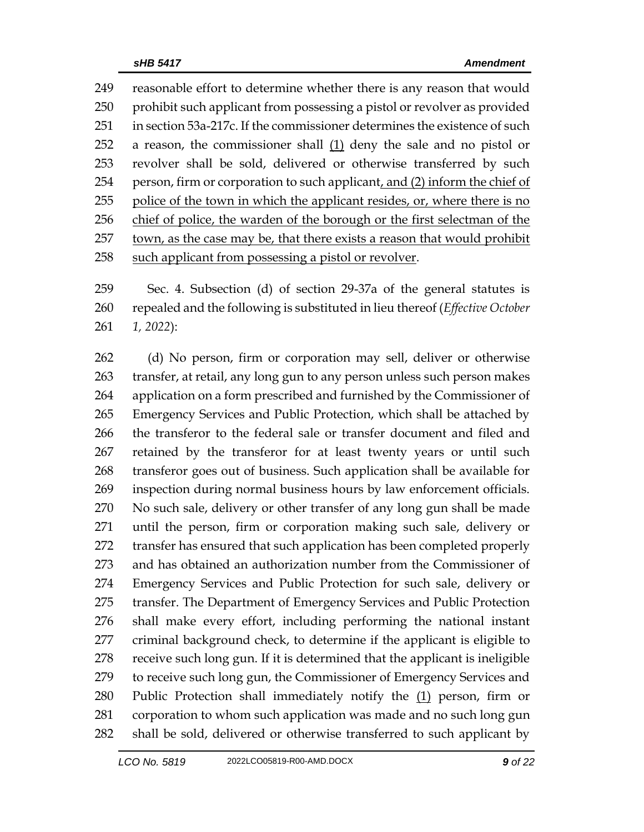reasonable effort to determine whether there is any reason that would 250 prohibit such applicant from possessing a pistol or revolver as provided in section 53a-217c. If the commissioner determines the existence of such a reason, the commissioner shall (1) deny the sale and no pistol or revolver shall be sold, delivered or otherwise transferred by such 254 person, firm or corporation to such applicant, and (2) inform the chief of police of the town in which the applicant resides, or, where there is no chief of police, the warden of the borough or the first selectman of the town, as the case may be, that there exists a reason that would prohibit such applicant from possessing a pistol or revolver.

 Sec. 4. Subsection (d) of section 29-37a of the general statutes is repealed and the following is substituted in lieu thereof (*Effective October 1, 2022*):

 (d) No person, firm or corporation may sell, deliver or otherwise transfer, at retail, any long gun to any person unless such person makes application on a form prescribed and furnished by the Commissioner of Emergency Services and Public Protection, which shall be attached by the transferor to the federal sale or transfer document and filed and retained by the transferor for at least twenty years or until such transferor goes out of business. Such application shall be available for inspection during normal business hours by law enforcement officials. No such sale, delivery or other transfer of any long gun shall be made until the person, firm or corporation making such sale, delivery or transfer has ensured that such application has been completed properly and has obtained an authorization number from the Commissioner of Emergency Services and Public Protection for such sale, delivery or transfer. The Department of Emergency Services and Public Protection shall make every effort, including performing the national instant criminal background check, to determine if the applicant is eligible to receive such long gun. If it is determined that the applicant is ineligible 279 to receive such long gun, the Commissioner of Emergency Services and 280 Public Protection shall immediately notify the  $(1)$  person, firm or corporation to whom such application was made and no such long gun shall be sold, delivered or otherwise transferred to such applicant by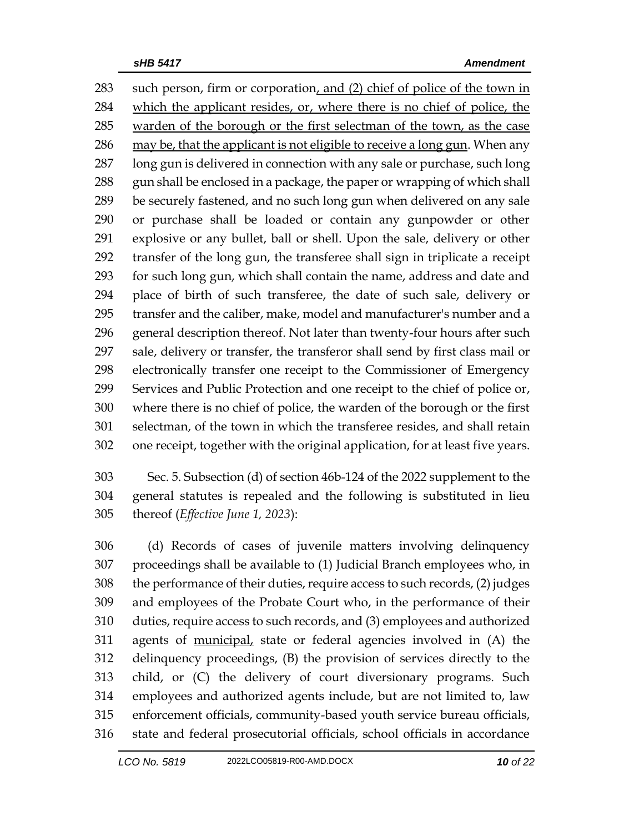such person, firm or corporation, and (2) chief of police of the town in which the applicant resides, or, where there is no chief of police, the warden of the borough or the first selectman of the town, as the case may be, that the applicant is not eligible to receive a long gun. When any long gun is delivered in connection with any sale or purchase, such long 288 gun shall be enclosed in a package, the paper or wrapping of which shall be securely fastened, and no such long gun when delivered on any sale or purchase shall be loaded or contain any gunpowder or other explosive or any bullet, ball or shell. Upon the sale, delivery or other transfer of the long gun, the transferee shall sign in triplicate a receipt for such long gun, which shall contain the name, address and date and place of birth of such transferee, the date of such sale, delivery or transfer and the caliber, make, model and manufacturer's number and a general description thereof. Not later than twenty-four hours after such sale, delivery or transfer, the transferor shall send by first class mail or electronically transfer one receipt to the Commissioner of Emergency Services and Public Protection and one receipt to the chief of police or, where there is no chief of police, the warden of the borough or the first selectman, of the town in which the transferee resides, and shall retain one receipt, together with the original application, for at least five years.

 Sec. 5. Subsection (d) of section 46b-124 of the 2022 supplement to the general statutes is repealed and the following is substituted in lieu thereof (*Effective June 1, 2023*):

 (d) Records of cases of juvenile matters involving delinquency proceedings shall be available to (1) Judicial Branch employees who, in the performance of their duties, require access to such records, (2) judges and employees of the Probate Court who, in the performance of their duties, require access to such records, and (3) employees and authorized agents of municipal, state or federal agencies involved in (A) the delinquency proceedings, (B) the provision of services directly to the child, or (C) the delivery of court diversionary programs. Such employees and authorized agents include, but are not limited to, law enforcement officials, community-based youth service bureau officials, state and federal prosecutorial officials, school officials in accordance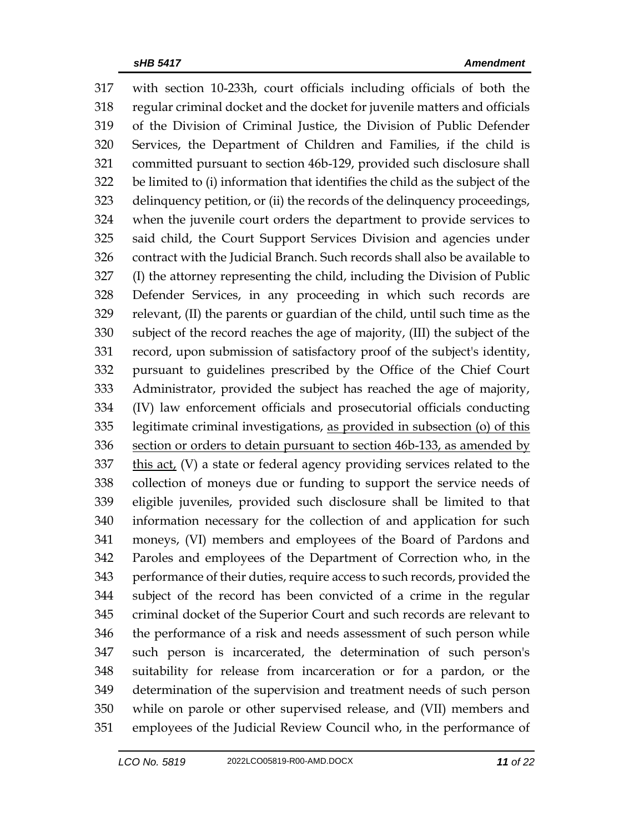with section 10-233h, court officials including officials of both the regular criminal docket and the docket for juvenile matters and officials of the Division of Criminal Justice, the Division of Public Defender Services, the Department of Children and Families, if the child is committed pursuant to section 46b-129, provided such disclosure shall be limited to (i) information that identifies the child as the subject of the delinquency petition, or (ii) the records of the delinquency proceedings, when the juvenile court orders the department to provide services to said child, the Court Support Services Division and agencies under contract with the Judicial Branch. Such records shall also be available to (I) the attorney representing the child, including the Division of Public Defender Services, in any proceeding in which such records are relevant, (II) the parents or guardian of the child, until such time as the subject of the record reaches the age of majority, (III) the subject of the record, upon submission of satisfactory proof of the subject's identity, pursuant to guidelines prescribed by the Office of the Chief Court Administrator, provided the subject has reached the age of majority, (IV) law enforcement officials and prosecutorial officials conducting legitimate criminal investigations, as provided in subsection (o) of this 336 section or orders to detain pursuant to section 46b-133, as amended by this act, (V) a state or federal agency providing services related to the collection of moneys due or funding to support the service needs of eligible juveniles, provided such disclosure shall be limited to that information necessary for the collection of and application for such moneys, (VI) members and employees of the Board of Pardons and Paroles and employees of the Department of Correction who, in the performance of their duties, require access to such records, provided the subject of the record has been convicted of a crime in the regular criminal docket of the Superior Court and such records are relevant to the performance of a risk and needs assessment of such person while such person is incarcerated, the determination of such person's suitability for release from incarceration or for a pardon, or the determination of the supervision and treatment needs of such person while on parole or other supervised release, and (VII) members and employees of the Judicial Review Council who, in the performance of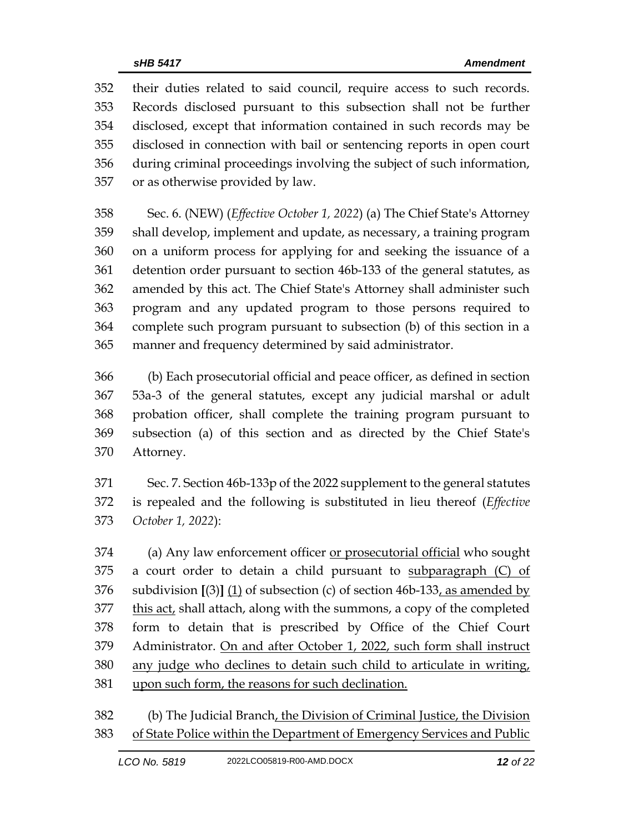their duties related to said council, require access to such records. Records disclosed pursuant to this subsection shall not be further disclosed, except that information contained in such records may be disclosed in connection with bail or sentencing reports in open court during criminal proceedings involving the subject of such information, or as otherwise provided by law.

 Sec. 6. (NEW) (*Effective October 1, 2022*) (a) The Chief State's Attorney shall develop, implement and update, as necessary, a training program on a uniform process for applying for and seeking the issuance of a detention order pursuant to section 46b-133 of the general statutes, as amended by this act. The Chief State's Attorney shall administer such program and any updated program to those persons required to complete such program pursuant to subsection (b) of this section in a manner and frequency determined by said administrator.

 (b) Each prosecutorial official and peace officer, as defined in section 53a-3 of the general statutes, except any judicial marshal or adult probation officer, shall complete the training program pursuant to subsection (a) of this section and as directed by the Chief State's Attorney.

 Sec. 7. Section 46b-133p of the 2022 supplement to the general statutes is repealed and the following is substituted in lieu thereof (*Effective October 1, 2022*):

 (a) Any law enforcement officer or prosecutorial official who sought 375 a court order to detain a child pursuant to subparagraph  $(C)$  of subdivision **[**(3)**]** (1) of subsection (c) of section 46b-133, as amended by this act, shall attach, along with the summons, a copy of the completed form to detain that is prescribed by Office of the Chief Court Administrator. On and after October 1, 2022, such form shall instruct any judge who declines to detain such child to articulate in writing, upon such form, the reasons for such declination.

 (b) The Judicial Branch, the Division of Criminal Justice, the Division of State Police within the Department of Emergency Services and Public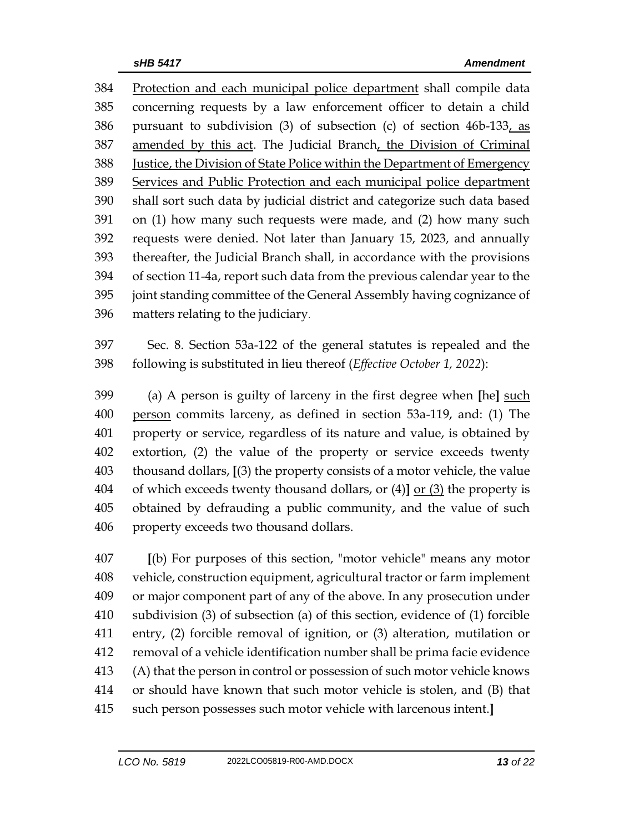Protection and each municipal police department shall compile data concerning requests by a law enforcement officer to detain a child pursuant to subdivision (3) of subsection (c) of section 46b-133, as 387 amended by this act. The Judicial Branch, the Division of Criminal Justice, the Division of State Police within the Department of Emergency Services and Public Protection and each municipal police department shall sort such data by judicial district and categorize such data based on (1) how many such requests were made, and (2) how many such requests were denied. Not later than January 15, 2023, and annually thereafter, the Judicial Branch shall, in accordance with the provisions of section 11-4a, report such data from the previous calendar year to the joint standing committee of the General Assembly having cognizance of matters relating to the judiciary.

 Sec. 8. Section 53a-122 of the general statutes is repealed and the following is substituted in lieu thereof (*Effective October 1, 2022*):

 (a) A person is guilty of larceny in the first degree when **[**he**]** such person commits larceny, as defined in section 53a-119, and: (1) The property or service, regardless of its nature and value, is obtained by extortion, (2) the value of the property or service exceeds twenty thousand dollars, **[**(3) the property consists of a motor vehicle, the value of which exceeds twenty thousand dollars, or (4)**]** or (3) the property is obtained by defrauding a public community, and the value of such property exceeds two thousand dollars.

 **[**(b) For purposes of this section, "motor vehicle" means any motor vehicle, construction equipment, agricultural tractor or farm implement or major component part of any of the above. In any prosecution under subdivision (3) of subsection (a) of this section, evidence of (1) forcible entry, (2) forcible removal of ignition, or (3) alteration, mutilation or removal of a vehicle identification number shall be prima facie evidence (A) that the person in control or possession of such motor vehicle knows or should have known that such motor vehicle is stolen, and (B) that such person possesses such motor vehicle with larcenous intent.**]**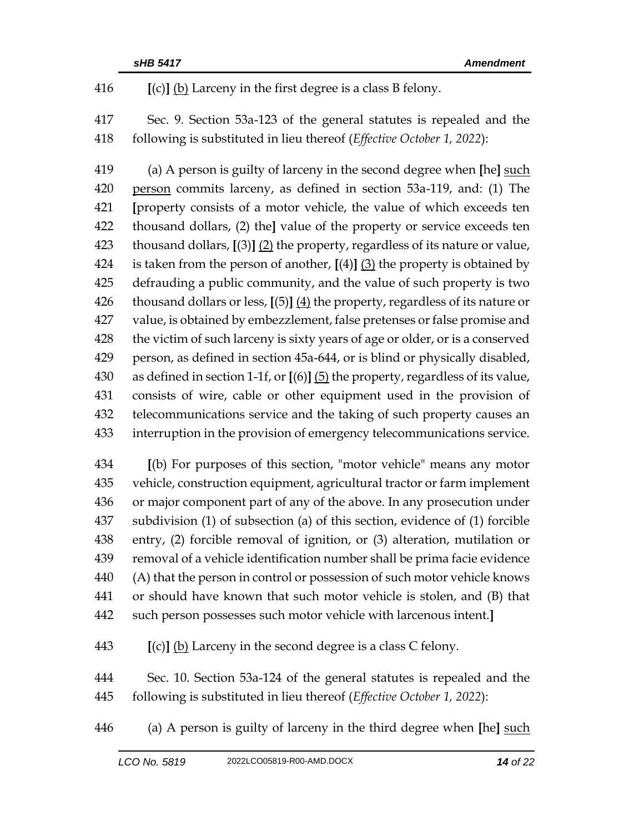**[**(c)**]** (b) Larceny in the first degree is a class B felony.

 Sec. 9. Section 53a-123 of the general statutes is repealed and the following is substituted in lieu thereof (*Effective October 1, 2022*):

 (a) A person is guilty of larceny in the second degree when **[**he**]** such person commits larceny, as defined in section 53a-119, and: (1) The **[**property consists of a motor vehicle, the value of which exceeds ten thousand dollars, (2) the**]** value of the property or service exceeds ten thousand dollars, **[**(3)**]** (2) the property, regardless of its nature or value, is taken from the person of another, **[**(4)**]** (3) the property is obtained by defrauding a public community, and the value of such property is two thousand dollars or less, **[**(5)**]** (4) the property, regardless of its nature or value, is obtained by embezzlement, false pretenses or false promise and the victim of such larceny is sixty years of age or older, or is a conserved person, as defined in section 45a-644, or is blind or physically disabled, as defined in section 1-1f, or **[**(6)**]** (5) the property, regardless of its value, consists of wire, cable or other equipment used in the provision of telecommunications service and the taking of such property causes an interruption in the provision of emergency telecommunications service.

 **[**(b) For purposes of this section, "motor vehicle" means any motor vehicle, construction equipment, agricultural tractor or farm implement or major component part of any of the above. In any prosecution under subdivision (1) of subsection (a) of this section, evidence of (1) forcible entry, (2) forcible removal of ignition, or (3) alteration, mutilation or removal of a vehicle identification number shall be prima facie evidence (A) that the person in control or possession of such motor vehicle knows or should have known that such motor vehicle is stolen, and (B) that such person possesses such motor vehicle with larcenous intent.**]**

**[**(c)**]** (b) Larceny in the second degree is a class C felony.

 Sec. 10. Section 53a-124 of the general statutes is repealed and the following is substituted in lieu thereof (*Effective October 1, 2022*):

(a) A person is guilty of larceny in the third degree when **[**he**]** such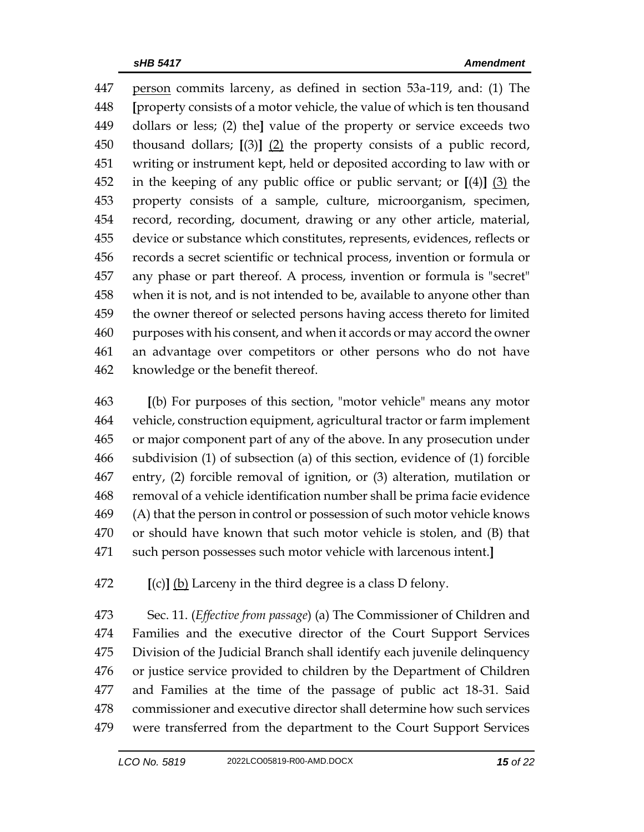person commits larceny, as defined in section 53a-119, and: (1) The **[**property consists of a motor vehicle, the value of which is ten thousand dollars or less; (2) the**]** value of the property or service exceeds two thousand dollars; **[**(3)**]** (2) the property consists of a public record, writing or instrument kept, held or deposited according to law with or in the keeping of any public office or public servant; or **[**(4)**]** (3) the property consists of a sample, culture, microorganism, specimen, record, recording, document, drawing or any other article, material, device or substance which constitutes, represents, evidences, reflects or records a secret scientific or technical process, invention or formula or any phase or part thereof. A process, invention or formula is "secret" when it is not, and is not intended to be, available to anyone other than the owner thereof or selected persons having access thereto for limited purposes with his consent, and when it accords or may accord the owner an advantage over competitors or other persons who do not have knowledge or the benefit thereof.

 **[**(b) For purposes of this section, "motor vehicle" means any motor vehicle, construction equipment, agricultural tractor or farm implement or major component part of any of the above. In any prosecution under subdivision (1) of subsection (a) of this section, evidence of (1) forcible entry, (2) forcible removal of ignition, or (3) alteration, mutilation or removal of a vehicle identification number shall be prima facie evidence (A) that the person in control or possession of such motor vehicle knows or should have known that such motor vehicle is stolen, and (B) that such person possesses such motor vehicle with larcenous intent.**]**

**[**(c)**]** (b) Larceny in the third degree is a class D felony.

 Sec. 11. (*Effective from passage*) (a) The Commissioner of Children and Families and the executive director of the Court Support Services Division of the Judicial Branch shall identify each juvenile delinquency or justice service provided to children by the Department of Children and Families at the time of the passage of public act 18-31. Said commissioner and executive director shall determine how such services were transferred from the department to the Court Support Services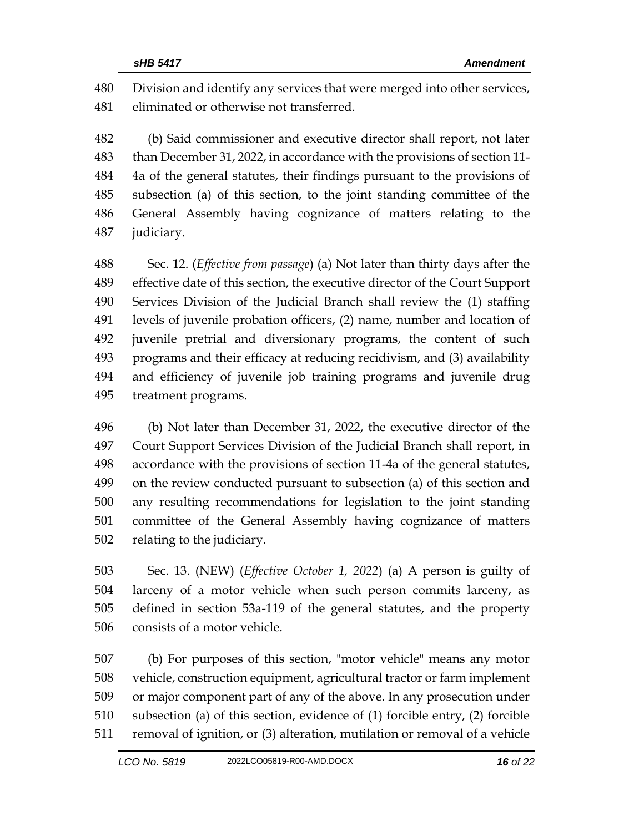Division and identify any services that were merged into other services, eliminated or otherwise not transferred.

 (b) Said commissioner and executive director shall report, not later than December 31, 2022, in accordance with the provisions of section 11- 4a of the general statutes, their findings pursuant to the provisions of subsection (a) of this section, to the joint standing committee of the General Assembly having cognizance of matters relating to the judiciary.

 Sec. 12. (*Effective from passage*) (a) Not later than thirty days after the effective date of this section, the executive director of the Court Support Services Division of the Judicial Branch shall review the (1) staffing levels of juvenile probation officers, (2) name, number and location of juvenile pretrial and diversionary programs, the content of such programs and their efficacy at reducing recidivism, and (3) availability and efficiency of juvenile job training programs and juvenile drug treatment programs.

 (b) Not later than December 31, 2022, the executive director of the Court Support Services Division of the Judicial Branch shall report, in accordance with the provisions of section 11-4a of the general statutes, on the review conducted pursuant to subsection (a) of this section and any resulting recommendations for legislation to the joint standing committee of the General Assembly having cognizance of matters relating to the judiciary.

 Sec. 13. (NEW) (*Effective October 1, 2022*) (a) A person is guilty of larceny of a motor vehicle when such person commits larceny, as defined in section 53a-119 of the general statutes, and the property consists of a motor vehicle.

 (b) For purposes of this section, "motor vehicle" means any motor vehicle, construction equipment, agricultural tractor or farm implement or major component part of any of the above. In any prosecution under subsection (a) of this section, evidence of (1) forcible entry, (2) forcible removal of ignition, or (3) alteration, mutilation or removal of a vehicle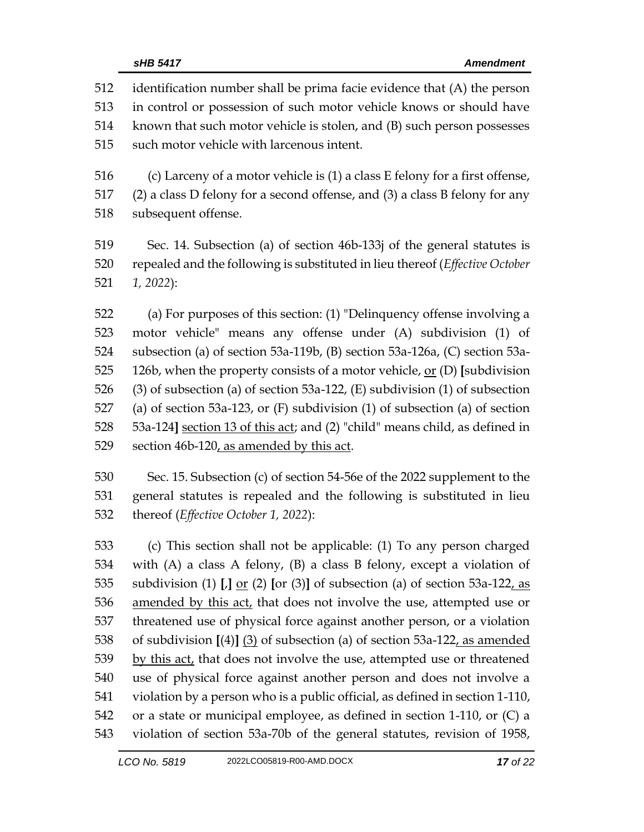identification number shall be prima facie evidence that (A) the person in control or possession of such motor vehicle knows or should have known that such motor vehicle is stolen, and (B) such person possesses such motor vehicle with larcenous intent. (c) Larceny of a motor vehicle is (1) a class E felony for a first offense, (2) a class D felony for a second offense, and (3) a class B felony for any subsequent offense. Sec. 14. Subsection (a) of section 46b-133j of the general statutes is repealed and the following is substituted in lieu thereof (*Effective October 1, 2022*): (a) For purposes of this section: (1) "Delinquency offense involving a motor vehicle" means any offense under (A) subdivision (1) of subsection (a) of section 53a-119b, (B) section 53a-126a, (C) section 53a- 126b, when the property consists of a motor vehicle, or (D) **[**subdivision (3) of subsection (a) of section 53a-122, (E) subdivision (1) of subsection (a) of section 53a-123, or (F) subdivision (1) of subsection (a) of section 53a-124**]** section 13 of this act; and (2) "child" means child, as defined in section 46b-120, as amended by this act. Sec. 15. Subsection (c) of section 54-56e of the 2022 supplement to the general statutes is repealed and the following is substituted in lieu thereof (*Effective October 1, 2022*): (c) This section shall not be applicable: (1) To any person charged with (A) a class A felony, (B) a class B felony, except a violation of subdivision (1) **[**,**]** or (2) **[**or (3)**]** of subsection (a) of section 53a-122, as

 amended by this act, that does not involve the use, attempted use or threatened use of physical force against another person, or a violation of subdivision **[**(4)**]** (3) of subsection (a) of section 53a-122, as amended by this act, that does not involve the use, attempted use or threatened use of physical force against another person and does not involve a violation by a person who is a public official, as defined in section 1-110, or a state or municipal employee, as defined in section 1-110, or (C) a violation of section 53a-70b of the general statutes, revision of 1958,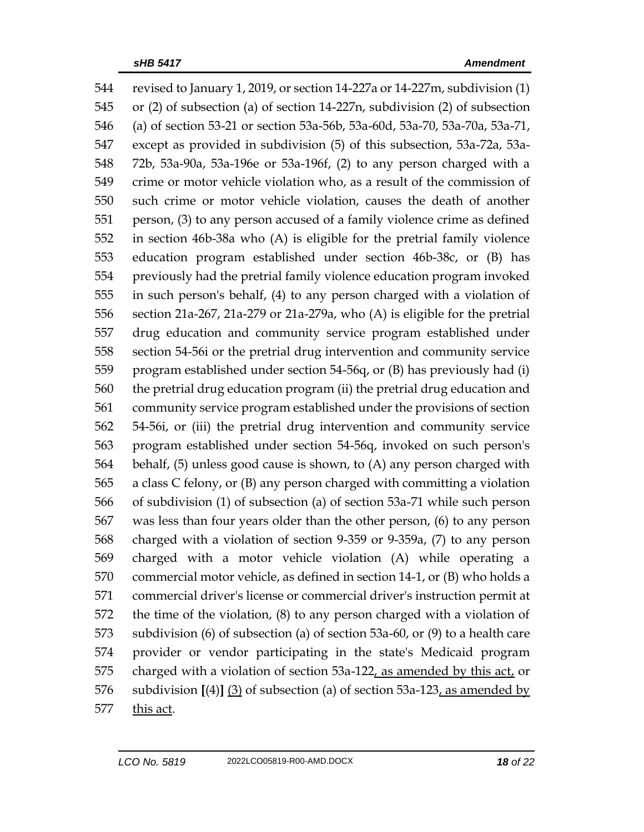revised to January 1, 2019, or section 14-227a or 14-227m, subdivision (1) or (2) of subsection (a) of section 14-227n, subdivision (2) of subsection (a) of section 53-21 or section 53a-56b, 53a-60d, 53a-70, 53a-70a, 53a-71, except as provided in subdivision (5) of this subsection, 53a-72a, 53a- 72b, 53a-90a, 53a-196e or 53a-196f, (2) to any person charged with a crime or motor vehicle violation who, as a result of the commission of such crime or motor vehicle violation, causes the death of another person, (3) to any person accused of a family violence crime as defined in section 46b-38a who (A) is eligible for the pretrial family violence education program established under section 46b-38c, or (B) has previously had the pretrial family violence education program invoked in such person's behalf, (4) to any person charged with a violation of section 21a-267, 21a-279 or 21a-279a, who (A) is eligible for the pretrial drug education and community service program established under section 54-56i or the pretrial drug intervention and community service program established under section 54-56q, or (B) has previously had (i) the pretrial drug education program (ii) the pretrial drug education and community service program established under the provisions of section 54-56i, or (iii) the pretrial drug intervention and community service program established under section 54-56q, invoked on such person's behalf, (5) unless good cause is shown, to (A) any person charged with a class C felony, or (B) any person charged with committing a violation of subdivision (1) of subsection (a) of section 53a-71 while such person was less than four years older than the other person, (6) to any person charged with a violation of section 9-359 or 9-359a, (7) to any person charged with a motor vehicle violation (A) while operating a commercial motor vehicle, as defined in section 14-1, or (B) who holds a commercial driver's license or commercial driver's instruction permit at the time of the violation, (8) to any person charged with a violation of subdivision (6) of subsection (a) of section 53a-60, or (9) to a health care provider or vendor participating in the state's Medicaid program charged with a violation of section 53a-122, as amended by this act, or subdivision **[**(4)**]** (3) of subsection (a) of section 53a-123, as amended by this act.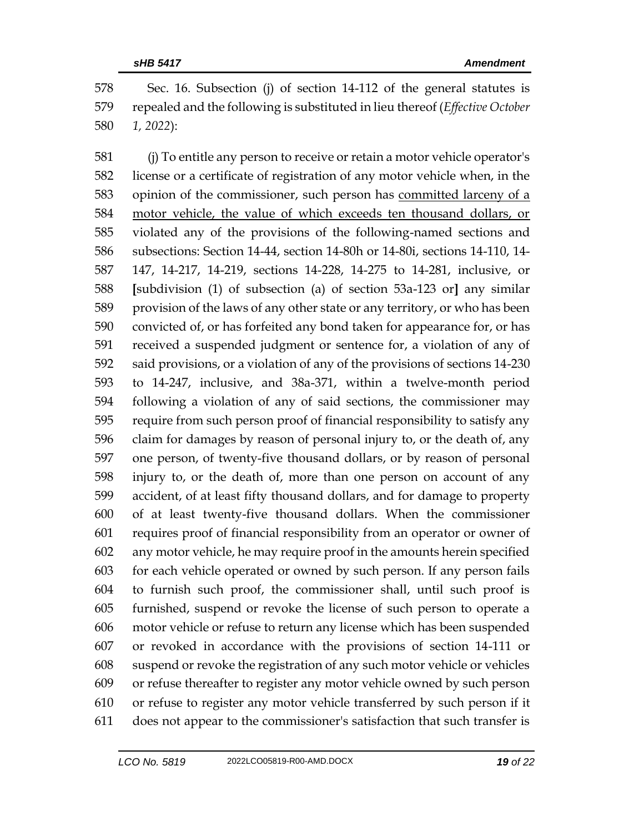Sec. 16. Subsection (j) of section 14-112 of the general statutes is repealed and the following is substituted in lieu thereof (*Effective October 1, 2022*):

 (j) To entitle any person to receive or retain a motor vehicle operator's license or a certificate of registration of any motor vehicle when, in the 583 opinion of the commissioner, such person has committed larceny of a motor vehicle, the value of which exceeds ten thousand dollars, or violated any of the provisions of the following-named sections and subsections: Section 14-44, section 14-80h or 14-80i, sections 14-110, 14- 147, 14-217, 14-219, sections 14-228, 14-275 to 14-281, inclusive, or **[**subdivision (1) of subsection (a) of section 53a-123 or**]** any similar provision of the laws of any other state or any territory, or who has been convicted of, or has forfeited any bond taken for appearance for, or has received a suspended judgment or sentence for, a violation of any of said provisions, or a violation of any of the provisions of sections 14-230 to 14-247, inclusive, and 38a-371, within a twelve-month period following a violation of any of said sections, the commissioner may require from such person proof of financial responsibility to satisfy any claim for damages by reason of personal injury to, or the death of, any one person, of twenty-five thousand dollars, or by reason of personal injury to, or the death of, more than one person on account of any accident, of at least fifty thousand dollars, and for damage to property of at least twenty-five thousand dollars. When the commissioner requires proof of financial responsibility from an operator or owner of any motor vehicle, he may require proof in the amounts herein specified for each vehicle operated or owned by such person. If any person fails to furnish such proof, the commissioner shall, until such proof is furnished, suspend or revoke the license of such person to operate a motor vehicle or refuse to return any license which has been suspended or revoked in accordance with the provisions of section 14-111 or suspend or revoke the registration of any such motor vehicle or vehicles or refuse thereafter to register any motor vehicle owned by such person or refuse to register any motor vehicle transferred by such person if it does not appear to the commissioner's satisfaction that such transfer is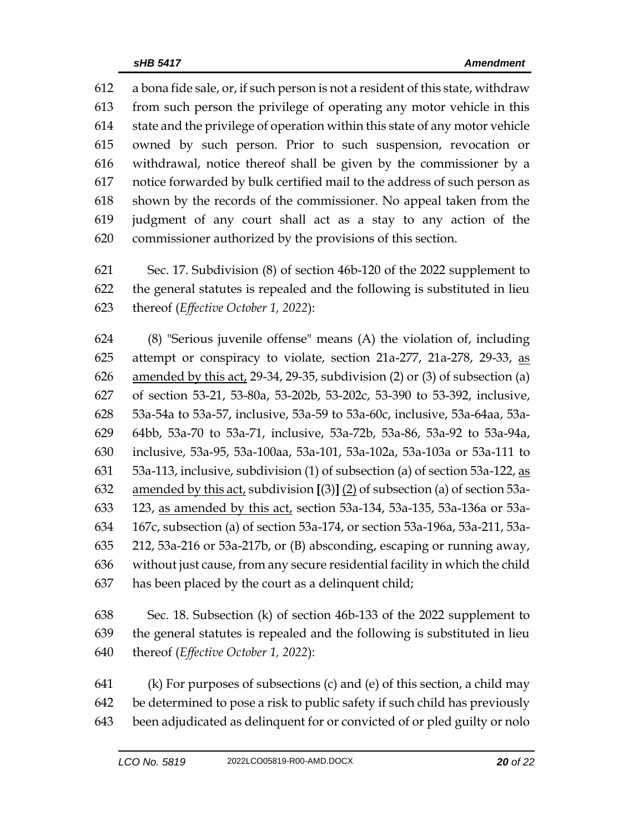a bona fide sale, or, if such person is not a resident of this state, withdraw from such person the privilege of operating any motor vehicle in this state and the privilege of operation within this state of any motor vehicle owned by such person. Prior to such suspension, revocation or withdrawal, notice thereof shall be given by the commissioner by a notice forwarded by bulk certified mail to the address of such person as shown by the records of the commissioner. No appeal taken from the judgment of any court shall act as a stay to any action of the commissioner authorized by the provisions of this section.

 Sec. 17. Subdivision (8) of section 46b-120 of the 2022 supplement to the general statutes is repealed and the following is substituted in lieu thereof (*Effective October 1, 2022*):

 (8) "Serious juvenile offense" means (A) the violation of, including 625 attempt or conspiracy to violate, section 21a-277, 21a-278, 29-33, as amended by this act, 29-34, 29-35, subdivision (2) or (3) of subsection (a) of section 53-21, 53-80a, 53-202b, 53-202c, 53-390 to 53-392, inclusive, 53a-54a to 53a-57, inclusive, 53a-59 to 53a-60c, inclusive, 53a-64aa, 53a- 64bb, 53a-70 to 53a-71, inclusive, 53a-72b, 53a-86, 53a-92 to 53a-94a, inclusive, 53a-95, 53a-100aa, 53a-101, 53a-102a, 53a-103a or 53a-111 to  $\,$  53a-113, inclusive, subdivision (1) of subsection (a) of section 53a-122, as amended by this act, subdivision **[**(3)**]** (2) of subsection (a) of section 53a- 123, as amended by this act, section 53a-134, 53a-135, 53a-136a or 53a- 167c, subsection (a) of section 53a-174, or section 53a-196a, 53a-211, 53a- 212, 53a-216 or 53a-217b, or (B) absconding, escaping or running away, without just cause, from any secure residential facility in which the child has been placed by the court as a delinquent child;

 Sec. 18. Subsection (k) of section 46b-133 of the 2022 supplement to the general statutes is repealed and the following is substituted in lieu thereof (*Effective October 1, 2022*):

 (k) For purposes of subsections (c) and (e) of this section, a child may be determined to pose a risk to public safety if such child has previously been adjudicated as delinquent for or convicted of or pled guilty or nolo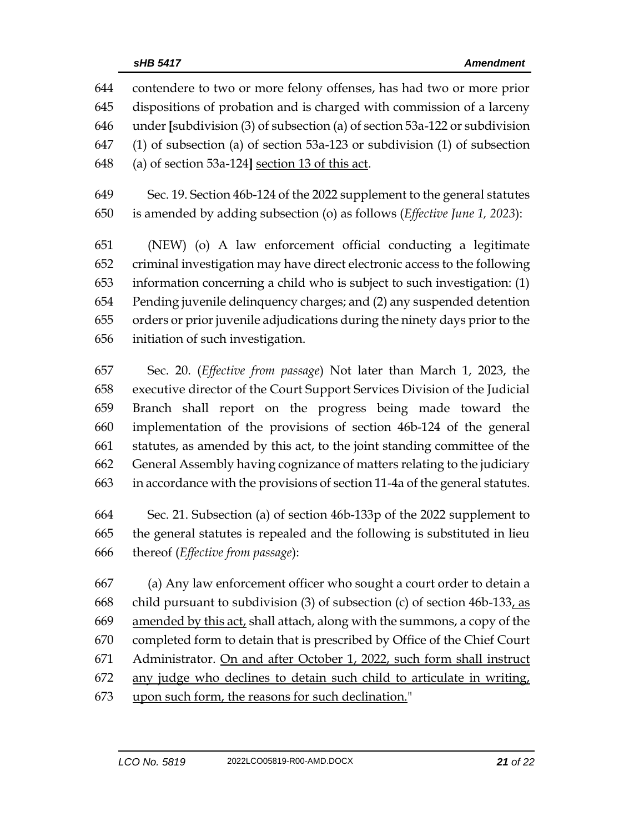contendere to two or more felony offenses, has had two or more prior dispositions of probation and is charged with commission of a larceny under **[**subdivision (3) of subsection (a) of section 53a-122 or subdivision (1) of subsection (a) of section 53a-123 or subdivision (1) of subsection (a) of section 53a-124**]** section 13 of this act. Sec. 19. Section 46b-124 of the 2022 supplement to the general statutes is amended by adding subsection (o) as follows (*Effective June 1, 2023*): (NEW) (o) A law enforcement official conducting a legitimate

 criminal investigation may have direct electronic access to the following information concerning a child who is subject to such investigation: (1) Pending juvenile delinquency charges; and (2) any suspended detention orders or prior juvenile adjudications during the ninety days prior to the initiation of such investigation.

 Sec. 20. (*Effective from passage*) Not later than March 1, 2023, the executive director of the Court Support Services Division of the Judicial Branch shall report on the progress being made toward the implementation of the provisions of section 46b-124 of the general statutes, as amended by this act, to the joint standing committee of the General Assembly having cognizance of matters relating to the judiciary in accordance with the provisions of section 11-4a of the general statutes.

 Sec. 21. Subsection (a) of section 46b-133p of the 2022 supplement to the general statutes is repealed and the following is substituted in lieu thereof (*Effective from passage*):

 (a) Any law enforcement officer who sought a court order to detain a child pursuant to subdivision (3) of subsection (c) of section 46b-133, as amended by this act, shall attach, along with the summons, a copy of the completed form to detain that is prescribed by Office of the Chief Court Administrator. On and after October 1, 2022, such form shall instruct any judge who declines to detain such child to articulate in writing, upon such form, the reasons for such declination."